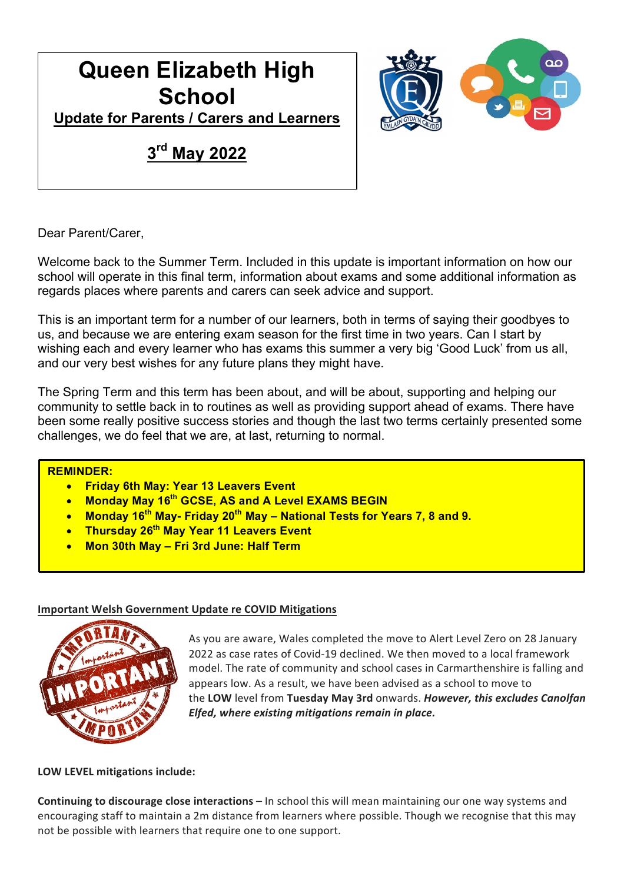# **Queen Elizabeth High School**



**Update for Parents / Carers and Learners** 

# **3rd May 2022**

Dear Parent/Carer,

Welcome back to the Summer Term. Included in this update is important information on how our school will operate in this final term, information about exams and some additional information as regards places where parents and carers can seek advice and support.

This is an important term for a number of our learners, both in terms of saying their goodbyes to us, and because we are entering exam season for the first time in two years. Can I start by wishing each and every learner who has exams this summer a very big 'Good Luck' from us all, and our very best wishes for any future plans they might have.

The Spring Term and this term has been about, and will be about, supporting and helping our community to settle back in to routines as well as providing support ahead of exams. There have been some really positive success stories and though the last two terms certainly presented some challenges, we do feel that we are, at last, returning to normal.

# **REMINDER:**

- **Friday 6th May: Year 13 Leavers Event**
- **Monday May 16th GCSE, AS and A Level EXAMS BEGIN**
- **Monday 16th May- Friday 20th May – National Tests for Years 7, 8 and 9.**
- **Thursday 26th May Year 11 Leavers Event**
- **Mon 30th May – Fri 3rd June: Half Term**

# **Important Welsh Government Update re COVID Mitigations**



As you are aware, Wales completed the move to Alert Level Zero on 28 January 2022 as case rates of Covid-19 declined. We then moved to a local framework model. The rate of community and school cases in Carmarthenshire is falling and appears low. As a result, we have been advised as a school to move to the **LOW** level from **Tuesday May 3rd** onwards. *However, this excludes Canolfan Elfed, where existing mitigations remain in place.*

**LOW LEVEL mitigations include:**

**Continuing to discourage close interactions** – In school this will mean maintaining our one way systems and encouraging staff to maintain a 2m distance from learners where possible. Though we recognise that this may not be possible with learners that require one to one support.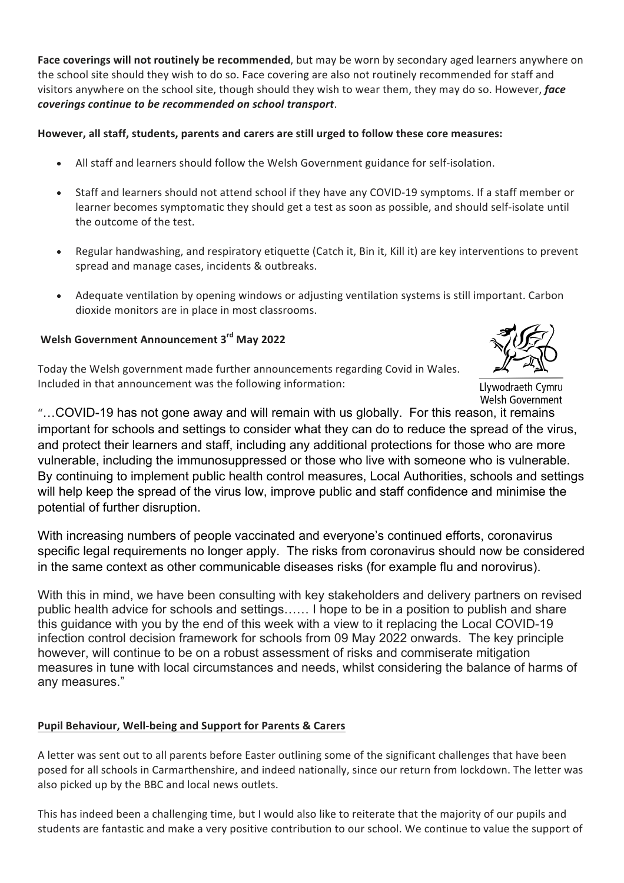**Face coverings will not routinely be recommended**, but may be worn by secondary aged learners anywhere on the school site should they wish to do so. Face covering are also not routinely recommended for staff and visitors anywhere on the school site, though should they wish to wear them, they may do so. However, *face coverings continue to be recommended on school transport*.

# **However, all staff, students, parents and carers are still urged to follow these core measures:**

- All staff and learners should follow the Welsh Government guidance for self-isolation.
- Staff and learners should not attend school if they have any COVID-19 symptoms. If a staff member or learner becomes symptomatic they should get a test as soon as possible, and should self-isolate until the outcome of the test.
- Regular handwashing, and respiratory etiquette (Catch it, Bin it, Kill it) are key interventions to prevent spread and manage cases, incidents & outbreaks.
- Adequate ventilation by opening windows or adjusting ventilation systems is still important. Carbon dioxide monitors are in place in most classrooms.

# **Welsh Government Announcement 3rd May 2022**

Today the Welsh government made further announcements regarding Covid in Wales. Included in that announcement was the following information:



Llywodraeth Cymru Welsh Government

"…COVID-19 has not gone away and will remain with us globally. For this reason, it remains important for schools and settings to consider what they can do to reduce the spread of the virus, and protect their learners and staff, including any additional protections for those who are more vulnerable, including the immunosuppressed or those who live with someone who is vulnerable. By continuing to implement public health control measures, Local Authorities, schools and settings will help keep the spread of the virus low, improve public and staff confidence and minimise the potential of further disruption.

With increasing numbers of people vaccinated and everyone's continued efforts, coronavirus specific legal requirements no longer apply. The risks from coronavirus should now be considered in the same context as other communicable diseases risks (for example flu and norovirus).

With this in mind, we have been consulting with key stakeholders and delivery partners on revised public health advice for schools and settings…… I hope to be in a position to publish and share this guidance with you by the end of this week with a view to it replacing the Local COVID-19 infection control decision framework for schools from 09 May 2022 onwards. The key principle however, will continue to be on a robust assessment of risks and commiserate mitigation measures in tune with local circumstances and needs, whilst considering the balance of harms of any measures."

# **Pupil Behaviour, Well-being and Support for Parents & Carers**

A letter was sent out to all parents before Easter outlining some of the significant challenges that have been posed for all schools in Carmarthenshire, and indeed nationally, since our return from lockdown. The letter was also picked up by the BBC and local news outlets.

This has indeed been a challenging time, but I would also like to reiterate that the majority of our pupils and students are fantastic and make a very positive contribution to our school. We continue to value the support of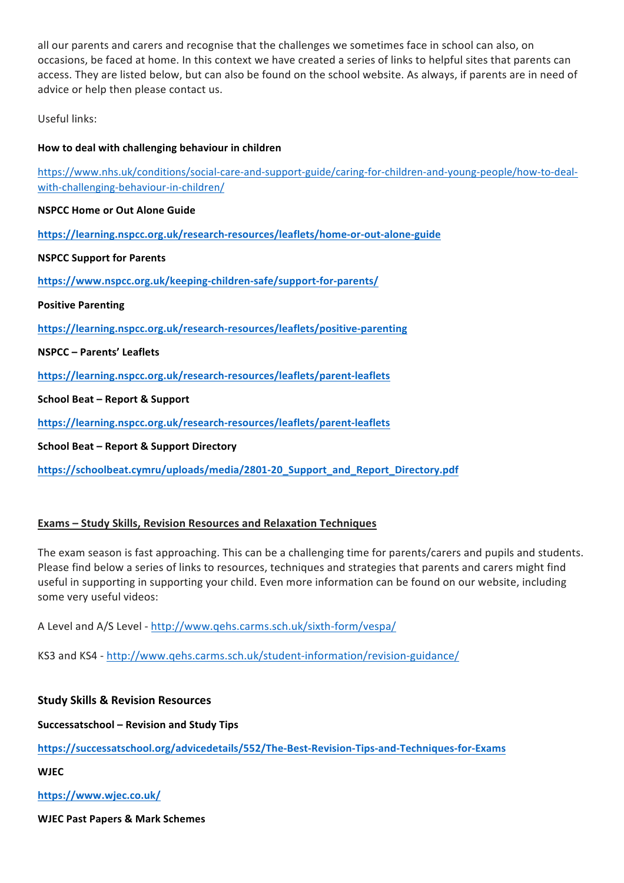all our parents and carers and recognise that the challenges we sometimes face in school can also, on occasions, be faced at home. In this context we have created a series of links to helpful sites that parents can access. They are listed below, but can also be found on the school website. As always, if parents are in need of advice or help then please contact us.

Useful links:

# How to deal with challenging behaviour in children

https://www.nhs.uk/conditions/social-care-and-support-guide/caring-for-children-and-young-people/how-to-dealwith-challenging-behaviour-in-children/

# **NSPCC Home or Out Alone Guide**

**https://learning.nspcc.org.uk/research-resources/leaflets/home-or-out-alone-guide**

**NSPCC Support for Parents** 

**https://www.nspcc.org.uk/keeping-children-safe/support-for-parents/**

**Positive Parenting**

**https://learning.nspcc.org.uk/research-resources/leaflets/positive-parenting**

**NSPCC – Parents' Leaflets**

**https://learning.nspcc.org.uk/research-resources/leaflets/parent-leaflets**

**School Beat – Report & Support** 

**https://learning.nspcc.org.uk/research-resources/leaflets/parent-leaflets**

**School Beat – Report & Support Directory** 

**https://schoolbeat.cymru/uploads/media/2801-20\_Support\_and\_Report\_Directory.pdf**

# **Exams – Study Skills, Revision Resources and Relaxation Techniques**

The exam season is fast approaching. This can be a challenging time for parents/carers and pupils and students. Please find below a series of links to resources, techniques and strategies that parents and carers might find useful in supporting in supporting your child. Even more information can be found on our website, including some very useful videos:

A Level and A/S Level - http://www.qehs.carms.sch.uk/sixth-form/vespa/

KS3 and KS4 - http://www.qehs.carms.sch.uk/student-information/revision-guidance/

**Study Skills & Revision Resources**

**Successatschool – Revision and Study Tips**

**https://successatschool.org/advicedetails/552/The-Best-Revision-Tips-and-Techniques-for-Exams**

**WJEC**

**https://www.wjec.co.uk/**

**WJEC Past Papers & Mark Schemes**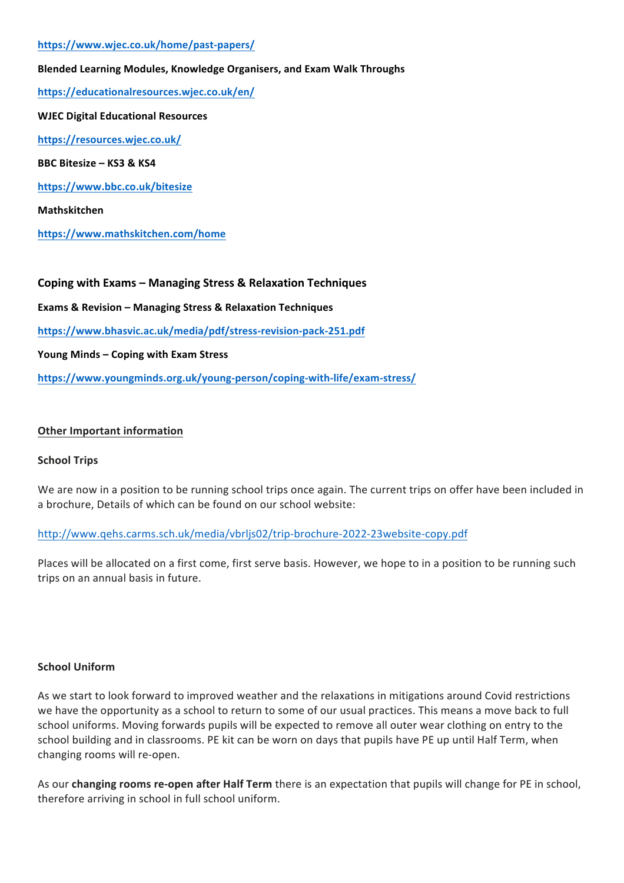#### **https://www.wjec.co.uk/home/past-papers/**

# **Blended Learning Modules, Knowledge Organisers, and Exam Walk Throughs**

**https://educationalresources.wjec.co.uk/en/**

**WJEC Digital Educational Resources https://resources.wjec.co.uk/ BBC Bitesize – KS3 & KS4 https://www.bbc.co.uk/bitesize Mathskitchen**

**https://www.mathskitchen.com/home**

**Coping with Exams - Managing Stress & Relaxation Techniques** 

**Exams & Revision – Managing Stress & Relaxation Techniques**

**https://www.bhasvic.ac.uk/media/pdf/stress-revision-pack-251.pdf**

Young Minds – Coping with Exam Stress

**https://www.youngminds.org.uk/young-person/coping-with-life/exam-stress/**

#### **Other Important information**

#### **School Trips**

We are now in a position to be running school trips once again. The current trips on offer have been included in a brochure, Details of which can be found on our school website:

#### http://www.qehs.carms.sch.uk/media/vbrljs02/trip-brochure-2022-23website-copy.pdf

Places will be allocated on a first come, first serve basis. However, we hope to in a position to be running such trips on an annual basis in future.

#### **School Uniform**

As we start to look forward to improved weather and the relaxations in mitigations around Covid restrictions we have the opportunity as a school to return to some of our usual practices. This means a move back to full school uniforms. Moving forwards pupils will be expected to remove all outer wear clothing on entry to the school building and in classrooms. PE kit can be worn on days that pupils have PE up until Half Term, when changing rooms will re-open.

As our **changing rooms re-open after Half Term** there is an expectation that pupils will change for PE in school, therefore arriving in school in full school uniform.